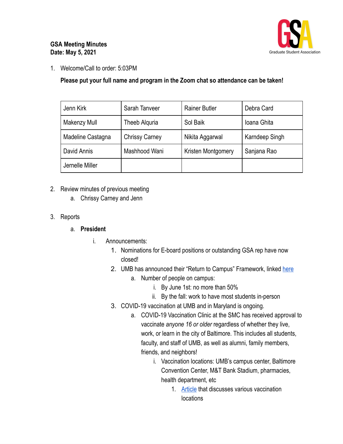

### **GSA Meeting Minutes Date: May 5, 2021**

1. Welcome/Call to order: 5:03PM

**Please put your full name and program in the Zoom chat so attendance can be taken!** 

| Jenn Kirk         | Sarah Tanveer         | <b>Rainer Butler</b> | Debra Card     |
|-------------------|-----------------------|----------------------|----------------|
| Makenzy Mull      | Theeb Alguria         | Sol Baik             | Ioana Ghita    |
| Madeline Castagna | <b>Chrissy Carney</b> | Nikita Aggarwal      | Karndeep Singh |
| David Annis       | Mashhood Wani         | Kristen Montgomery   | Sanjana Rao    |
| Jernelle Miller   |                       |                      |                |

### 2. Review minutes of previous meeting

- a. Chrissy Carney and Jenn
- 3. Reports

#### a. **President**

- i. Announcements:
	- 1. Nominations for E-board positions or outstanding GSA rep have now closed!
	- 2. UMB has announced their "Return to Campus" Framework, linked [here](https://www.umaryland.edu/media/umb/novel-coronavirus-2019-ncov/2021-Return-to-Campus-Plan-3.31.21.pdf)
		- a. Number of people on campus:
			- i. By June 1st: no more than 50%
			- ii. By the fall: work to have most students in-person
	- 3. COVID-19 vaccination at UMB and in Maryland is ongoing.
		- a. COVID-19 Vaccination Clinic at the SMC has received approval to vaccinate *anyone 16 or older* regardless of whether they live, work, or learn in the city of Baltimore. This includes all students, faculty, and staff of UMB, as well as alumni, family members, friends, and neighbors!
			- i. Vaccination locations: UMB's campus center, Baltimore Convention Center, M&T Bank Stadium, pharmacies, health department, etc
				- 1. [Article](https://elm.umaryland.edu/elm-stories/Elm-Stories-Content/UMB-Community-Encouraged-to-Register-for-Vaccine-Where-Available.php) that discusses various vaccination locations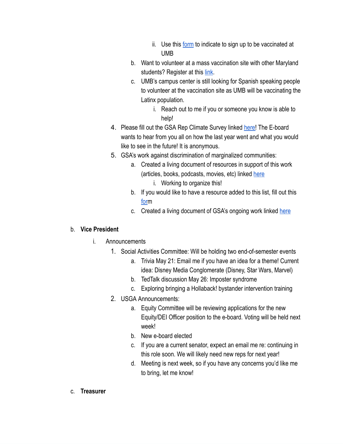- ii. Use this [form](https://www.umaryland.edu/get-the-vaccine/) to indicate to sign up to be vaccinated at UMB
- b. Want to volunteer at a mass vaccination site with other Maryland students? Register at this [link](https://www.givepulse.com/group/482016-State-of-Maryland-COVID-19-Vaccination-Site-Student-Volunteer-Program).
- c. UMB's campus center is still looking for Spanish speaking people to volunteer at the vaccination site as UMB will be vaccinating the Latinx population.
	- i. Reach out to me if you or someone you know is able to help!
- 4. Please fill out the GSA Rep Climate Survey linked [here](https://forms.gle/2Hjfe9EGZodZCiYV7)! The E-board wants to hear from you all on how the last year went and what you would like to see in the future! It is anonymous.
- 5. GSA's work against discrimination of marginalized communities:
	- a. Created a living document of resources in support of this work (articles, books, podcasts, movies, etc) linked [here](https://docs.google.com/document/d/1-zTkQo8CA4S4hoORb2b5ewK1FwRDDTCvXT--FGB30Gc/edit?usp=sharing)
		- i. Working to organize this!
	- b. If you would like to have a resource added to this list, fill out this [for](https://umbforms.wufoo.com/forms/m1mtxhaj1h49xuo/)m
	- c. Created a living document of GSA's ongoing work linked [here](https://docs.google.com/document/d/1RxFY83fQhHzFLnJsIy8iBzJn3KupTJiDP7rYNOY5Ug4/edit?usp=sharing)

### b. **Vice President**

- i. Announcements
	- 1. Social Activities Committee: Will be holding two end-of-semester events
		- a. Trivia May 21: Email me if you have an idea for a theme! Current idea: Disney Media Conglomerate (Disney, Star Wars, Marvel)
		- b. TedTalk discussion May 26: Imposter syndrome
		- c. Exploring bringing a Hollaback! bystander intervention training
	- 2. USGA Announcements:
		- a. Equity Committee will be reviewing applications for the new Equity/DEI Officer position to the e-board. Voting will be held next week!
		- b. New e-board elected
		- c. If you are a current senator, expect an email me re: continuing in this role soon. We will likely need new reps for next year!
		- d. Meeting is next week, so if you have any concerns you'd like me to bring, let me know!
- c. **Treasurer**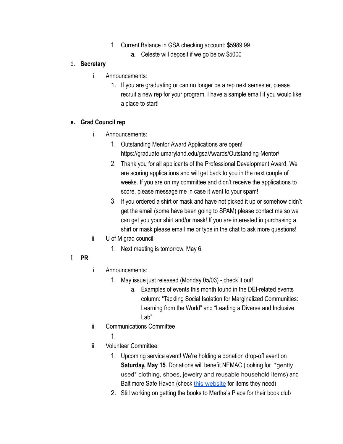- 1. Current Balance in GSA checking account: \$5989.99
	- **a.** Celeste will deposit if we go below \$5000

### d. **Secretary**

- i. Announcements:
	- 1. If you are graduating or can no longer be a rep next semester, please recruit a new rep for your program. I have a sample email if you would like a place to start!

## **e. Grad Council rep**

- i. Announcements:
	- 1. Outstanding Mentor Award Applications are open! https://graduate.umaryland.edu/gsa/Awards/Outstanding-Mentor/
	- 2. Thank you for all applicants of the Professional Development Award. We are scoring applications and will get back to you in the next couple of weeks. If you are on my committee and didn't receive the applications to score, please message me in case it went to your spam!
	- 3. If you ordered a shirt or mask and have not picked it up or somehow didn't get the email (some have been going to SPAM) please contact me so we can get you your shirt and/or mask! If you are interested in purchasing a shirt or mask please email me or type in the chat to ask more questions!
- ii. U of M grad council:
	- 1. Next meeting is tomorrow, May 6.

# f. **PR**

- i. Announcements:
	- 1. May issue just released (Monday 05/03) check it out!
		- a. Examples of events this month found in the DEI-related events column: "Tackling Social Isolation for Marginalized Communities: Learning from the World" and "Leading a Diverse and Inclusive Lab"
- ii. Communications Committee
	- 1.
- iii. Volunteer Committee:
	- 1. Upcoming service event! We're holding a donation drop-off event on **Saturday, May 15. Donations will benefit NEMAC (looking for \*gently** used\* clothing, shoes, jewelry and reusable household items) and Baltimore Safe Haven (check this [website](https://www.baltimoresafehaven.org/item-donations)for items they need)
	- 2. Still working on getting the books to Martha's Place for their book club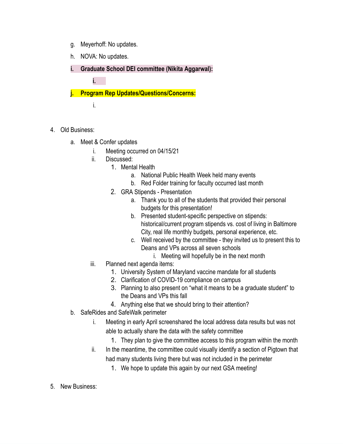- g. Meyerhoff: No updates.
- h. NOVA: No updates.
- **i. Graduate School DEI committee (Nikita Aggarwal):**

**j. Program Rep Updates/Questions/Concerns:** 

i.

**i.**

- 4. Old Business:
	- a. Meet & Confer updates
		- i. Meeting occurred on 04/15/21
		- ii. Discussed:
			- 1. Mental Health
				- a. National Public Health Week held many events
				- b. Red Folder training for faculty occurred last month
			- 2. GRA Stipends Presentation
				- a. Thank you to all of the students that provided their personal budgets for this presentation!
				- b. Presented student-specific perspective on stipends: historical/current program stipends vs. cost of living in Baltimore City, real life monthly budgets, personal experience, etc.
				- c. Well received by the committee they invited us to present this to Deans and VPs across all seven schools
				- i. Meeting will hopefully be in the next month
		- iii. Planned next agenda items:
			- 1. University System of Maryland vaccine mandate for all students
			- 2. Clarification of COVID-19 compliance on campus
			- 3. Planning to also present on "what it means to be a graduate student" to the Deans and VPs this fall
			- 4. Anything else that we should bring to their attention?
	- b. SafeRides and SafeWalk perimeter
		- i. Meeting in early April screenshared the local address data results but was not able to actually share the data with the safety committee
			- 1. They plan to give the committee access to this program within the month
		- ii. In the meantime, the committee could visually identify a section of Pigtown that had many students living there but was not included in the perimeter
			- 1. We hope to update this again by our next GSA meeting!
- 5. New Business: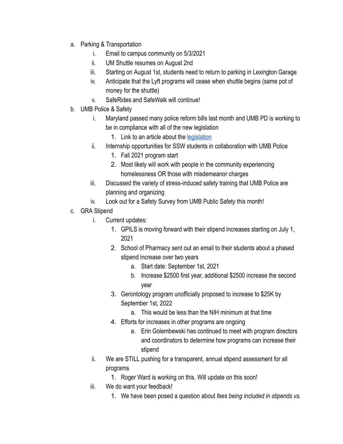- a. Parking & Transportation
	- i. Email to campus community on 5/3/2021
	- ii. UM Shuttle resumes on August 2nd
	- iii. Starting on August 1st, students need to return to parking in Lexington Garage
	- iv. Anticipate that the Lyft programs will cease when shuttle begins (same pot of money for the shuttle)
	- v. SafeRides and SafeWalk will continue!
- b. UMB Police & Safety
	- i. Maryland passed many police reform bills last month and UMB PD is working to be in compliance with all of the new legislation
		- 1. Link to an article about the legislation
	- ii. Internship opportunities for SSW students in collaboration with UMB Police
		- 1. Fall 2021 program start
		- 2. Most likely will work with people in the community experiencing homelessness OR those with misdemeanor charges
	- iii. Discussed the variety of stress-induced safety training that UMB Police are planning and organizing
	- iv. Look out for a Safety Survey from UMB Public Safety this month!
- c. GRA Stipend
	- i. Current updates:
		- 1. GPILS is moving forward with their stipend increases starting on July 1, 2021
		- 2. School of Pharmacy sent out an email to their students about a phased stipend increase over two years
			- a. Start date: September 1st, 2021
			- b. Increase \$2500 first year, additional \$2500 increase the second year
		- 3. Gerontology program unofficially proposed to increase to \$25K by September 1st, 2022
			- a. This would be less than the NIH minimum at that time
		- 4. Efforts for increases in other programs are ongoing
			- a. Erin Golembewski has continued to meet with program directors and coordinators to determine how programs can increase their stipend
	- ii. We are STILL pushing for a transparent, annual stipend assessment for all programs
		- 1. Roger Ward is working on this. Will update on this soon!
	- iii. We do want your feedback!
		- 1. We have been posed a question about *fees being included in stipends vs.*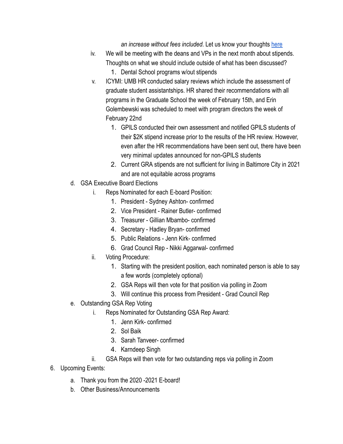an increase without fees included. Let us know your thoughts [here](https://docs.google.com/forms/d/e/1FAIpQLSeiGkHogA2gQzUJ8cKVfAzW4JZohYoevWlaVeKvjov5OTySrw/viewform?gxids=7628)

- iv. We will be meeting with the deans and VPs in the next month about stipends. Thoughts on what we should include outside of what has been discussed? 1. Dental School programs w/out stipends
- v. ICYMI: UMB HR conducted salary reviews which include the assessment of graduate student assistantships. HR shared their recommendations with all programs in the Graduate School the week of February 15th, and Erin Golembewski was scheduled to meet with program directors the week of February 22nd
	- 1. GPILS conducted their own assessment and notified GPILS students of their \$2K stipend increase prior to the results of the HR review. However, even after the HR recommendations have been sent out, there have been very minimal updates announced for non-GPILS students
	- 2. Current GRA stipends are not sufficient for living in Baltimore City in 2021 and are not equitable across programs
- d. GSA Executive Board Elections
	- i. Reps Nominated for each E-board Position:
		- 1. President Sydney Ashton- confirmed
		- 2. Vice President Rainer Butler- confirmed
		- 3. Treasurer Gillian Mbambo- confirmed
		- 4. Secretary Hadley Bryan- confirmed
		- 5. Public Relations Jenn Kirk- confirmed
		- 6. Grad Council Rep Nikki Aggarwal- confirmed
	- ii. Voting Procedure:
		- 1. Starting with the president position, each nominated person is able to say a few words (completely optional)
		- 2. GSA Reps will then vote for that position via polling in Zoom
		- 3. Will continue this process from President Grad Council Rep
- e. Outstanding GSA Rep Voting
	- i. Reps Nominated for Outstanding GSA Rep Award:
		- 1. Jenn Kirk- confirmed
		- 2. Sol Baik
		- 3. Sarah Tanveer- confirmed
		- 4. Karndeep Singh
	- ii. GSA Reps will then vote for two outstanding reps via polling in Zoom
- 6. Upcoming Events:
	- a. Thank you from the 2020 -2021 E-board!
	- b. Other Business/Announcements